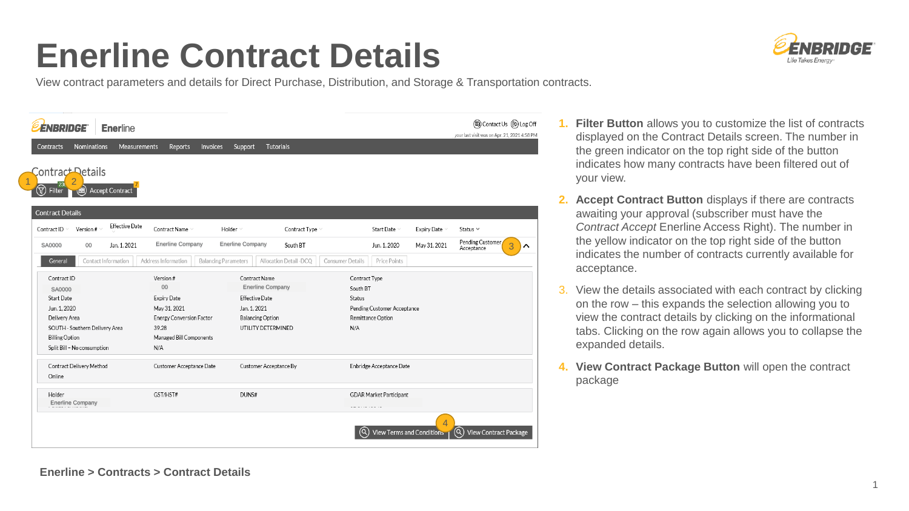## **Enerline Contract Details**

View contract parameters and details for Direct Purchase, Distribution, and Storage & Transportation contracts.



- **1. Filter Button** allows you to customize the list of contracts displayed on the Contract Details screen. The number in the green indicator on the top right side of the button indicates how many contracts have been filtered out of your view.
- **2. Accept Contract Button** displays if there are contracts awaiting your approval (subscriber must have the *Contract Accept* Enerline Access Right). The number in the yellow indicator on the top right side of the button indicates the number of contracts currently available for acceptance.
- 3. View the details associated with each contract by clicking on the row – this expands the selection allowing you to view the contract details by clicking on the informational tabs. Clicking on the row again allows you to collapse the expanded details.
- **4. View Contract Package Button** will open the contract package